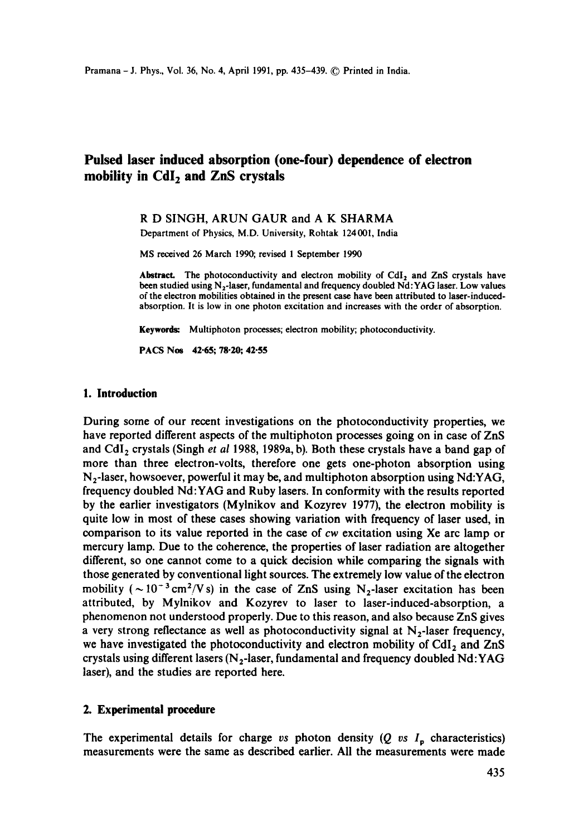# **Pulsed laser induced absorption (one-four) dependence of electron mobility in Cdlz and ZnS crystals**

## R D SINGH, ARUN GAUR and A K SHARMA

Department of Physics, M.D. University, Rohtak 124001, India

MS received 26 March 1990, revised 1 September 1990

Abstract. The photoconductivity and electron mobility of CdI<sub>2</sub> and ZnS crystals have been studied using  $N_2$ -laser, fundamental and frequency doubled  $Nd:YAG$  laser. Low values of the electron mobilities obtained in the present case have been attributed to laser-inducedabsorption. It is low in one photon excitation and increases with the order of absorption.

Keywords: Multiphoton processes; electron mobility; photoconductivity.

PACS Nos 42-65; 78-20; 42-55

#### **1. Introduction**

During some of our recent investigations on the photoconductivity properties, we have reported different aspects of the muitiphoton processes going on in case of ZnS and CdI<sub>2</sub> crystals (Singh *et al* 1988, 1989a, b). Both these crystals have a band gap of more than three electron-volts, therefore one gets one-photon absorption using  $N_2$ -laser, howsoever, powerful it may be, and multiphoton absorption using Nd:YAG, frequency doubled Nd:YAG and Ruby lasers. In conformity with the results reported by the earlier investigators (Mylnikov and Kozyrev 1977), the electron mobility is quite low in most of these cases showing variation with frequency of laser used, in comparison to its value reported in the case of cw excitation using Xe arc lamp or mercury lamp. Due to the coherence, the properties of laser radiation are altogether different, so one cannot come to a quick decision while comparing the signals with those generated by conventional light sources. The extremely low value of the electron mobility ( $\sim 10^{-3}$  cm<sup>2</sup>/V s) in the case of ZnS using N<sub>2</sub>-laser excitation has been attributed, by Mylnikov and Kozyrev to laser to laser-induced-absorption, a phenomenon not understood properly. Due to this reason, and also because ZnS gives a very strong reflectance as well as photoconductivity signal at  $N_2$ -laser frequency, we have investigated the photoconductivity and electron mobility of  $CdI<sub>2</sub>$  and  $ZnS$ crystals using different lasers ( $N_2$ -laser, fundamental and frequency doubled Nd:YAG laser), and the studies are reported here.

## **2. Experimental procedure**

The experimental details for charge *vs* photon density  $(Q \text{ vs } I_n)$  characteristics) measurements were the same as described earlier. All the measurements were made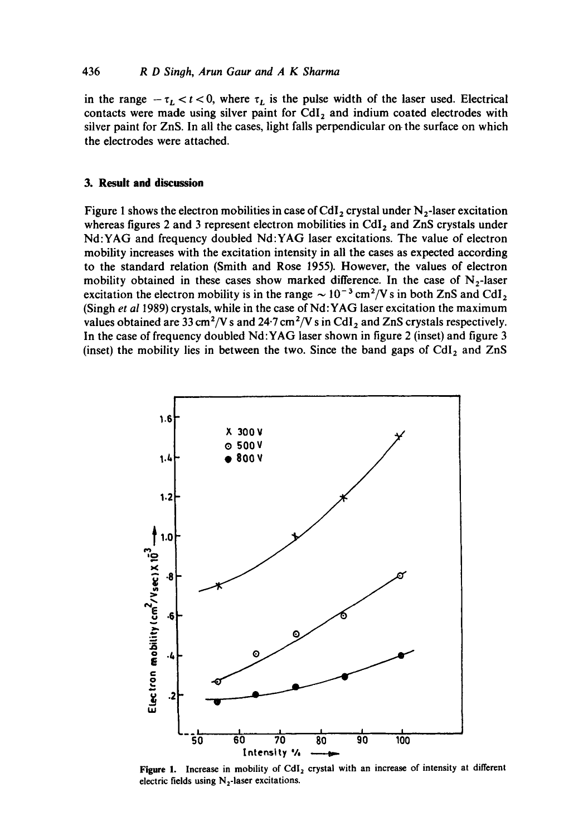#### 436 **R D Singh, Arun Gaur and A K Sharma**

in the range  $-\tau_L < t < 0$ , where  $\tau_L$  is the pulse width of the laser used. Electrical contacts were made using silver paint for CdI<sub>2</sub> and indium coated electrodes with silver paint for ZnS. In all the cases, light falls perpendicular on the surface on which the electrodes were attached.

#### **3. Result and discussion**

Figure 1 shows the electron mobilities in case of CdI<sub>2</sub> crystal under  $N_2$ -laser excitation whereas figures 2 and 3 represent electron mobilities in CdI<sub>2</sub> and ZnS crystals under Nd:YAG and frequency doubled Nd:YAG laser excitations. The value of electron mobility increases with the excitation intensity in all the eases as expected according to the standard relation (Smith and Rose 1955). However, the values of electron mobility obtained in these cases show marked difference. In the case of  $N<sub>2</sub>$ -laser excitation the electron mobility is in the range  $\sim 10^{-3}$  cm<sup>2</sup>/V s in both ZnS and CdI<sub>2</sub> (Singh *et a11989)* crystals, while in the case of Nd:YAG laser excitation the maximum values obtained are 33 cm<sup>2</sup>/V s and 24.7 cm<sup>2</sup>/V s in CdI<sub>2</sub> and ZnS crystals respectively. In the case of frequency doubled Nd:YAG laser shown in figure 2 (inset) and figure 3 (inset) the mobility lies in between the two. Since the band gaps of  $CdI<sub>2</sub>$  and  $ZnS$ 



Figure 1. Increase in mobility of CdI<sub>2</sub> crystal with an increase of intensity at different electric fields using  $N_2$ -laser excitations.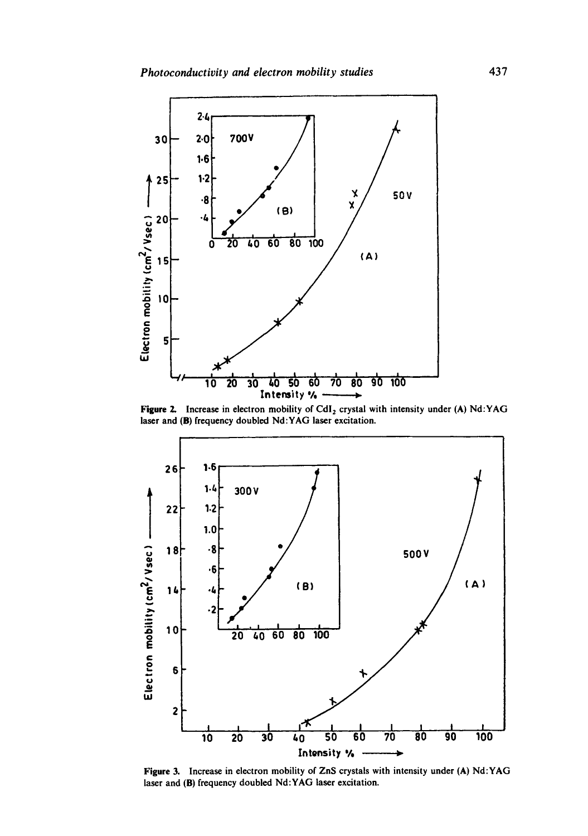

Figure 2. Increase in electron mobility of CdI<sub>2</sub> crystal with intensity under (A) Nd:YAG laser and (B) frequency doubled Nd:YAG laser excitation.



Figure 3. Increase in electron mobility of ZnS crystals with intensity under (A) Nd:YAG laser and (B) frequency doubled Nd:YAG laser excitation.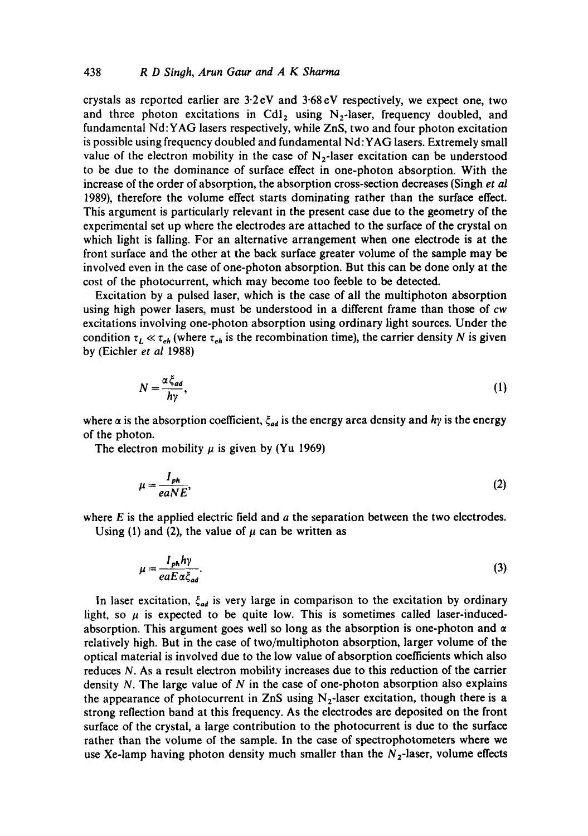crystals as reported earlier are  $3.2 \text{ eV}$  and  $3.68 \text{ eV}$  respectively, we expect one, two and three photon excitations in CdI<sub>2</sub> using  $N_2$ -laser, frequency doubled, and fundamental Nd:YAG lasers respectively, while ZnS, two and four photon excitation is possible using frequency doubled and fundamental Nd:YAG lasers. Extremely small value of the electron mobility in the case of  $N_2$ -laser excitation can be understood to be due to the dominance of surface effect in one-photon absorption. With the increase of the order of absorption, the absorption cross-section decreases (Singh *et al*  1989), therefore the volume effect starts dominating rather than the surface effect. This argument is particularly relevant in the present case due to the geometry of the experimental set up where the electrodes are attached to the surface of the crystal on which light is falling. For an alternative arrangement when one electrode is at the front surface and the other at the back surface greater volume of the sample may be involved even in the case of one-photon absorption. But this can be done only at the cost of the photocurrent, which may become too feeble to be detected.

Excitation by a pulsed laser, which is the case of all the multiphoton absorption using high power lasers, must be understood in a different frame than those of *cw*  excitations involving one-photon absorption using ordinary light sources. Under the condition  $\tau_L \ll \tau_{eh}$  (where  $\tau_{eh}$  is the recombination time), the carrier density N is given by (Eichler *et al* 1988)

$$
N = \frac{\alpha \zeta_{ad}}{h\gamma},\tag{1}
$$

where  $\alpha$  is the absorption coefficient,  $\xi_{ad}$  is the energy area density and hy is the energy of the photon.

The electron mobility  $\mu$  is given by (Yu 1969)

$$
\mu = \frac{I_{ph}}{eaNE},\tag{2}
$$

where  $E$  is the applied electric field and  $a$  the separation between the two electrodes.

Using (1) and (2), the value of  $\mu$  can be written as

$$
\mu = \frac{I_{ph} h \gamma}{eaE \alpha \xi_{ad}}.\tag{3}
$$

In laser excitation,  $\xi_{ad}$  is very large in comparison to the excitation by ordinary light, so  $\mu$  is expected to be quite low. This is sometimes called laser-inducedabsorption. This argument goes well so long as the absorption is one-photon and  $\alpha$ relatively high. But in the case of two/multiphoton absorption, larger volume of the optical material is involved due to the low value of absorption coefficients which also reduces N. As a result electron mobility increases due to this reduction of the carrier density  $N$ . The large value of  $N$  in the case of one-photon absorption also explains the appearance of photocurrent in ZnS using  $N_2$ -laser excitation, though there is a strong reflection band at this frequency. As the electrodes are deposited on the front surface of the crystal, a large contribution to the photocurrent is due to the surface rather than the volume of the sample. In the case of spectrophotometers where we use Xe-lamp having photon density much smaller than the  $N_2$ -laser, volume effects